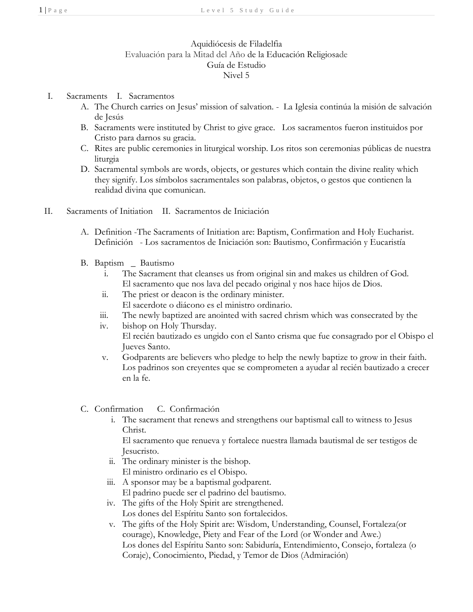## Aquidiócesis de Filadelfia Evaluación para la Mitad del Año de la Educación Religiosade Guía de Estudio Nivel 5

- I. Sacraments I. Sacramentos
	- A. The Church carries on Jesus' mission of salvation. La Iglesia continúa la misión de salvación de Jesús
	- B. Sacraments were instituted by Christ to give grace. Los sacramentos fueron instituidos por Cristo para darnos su gracia.
	- C. Rites are public ceremonies in liturgical worship. Los ritos son ceremonias públicas de nuestra liturgia
	- D. Sacramental symbols are words, objects, or gestures which contain the divine reality which they signify. Los símbolos sacramentales son palabras, objetos, o gestos que contienen la realidad divina que comunican.
- II. Sacraments of Initiation II. Sacramentos de Iniciación
	- A. Definition -The Sacraments of Initiation are: Baptism, Confirmation and Holy Eucharist. Definición - Los sacramentos de Iniciación son: Bautismo, Confirmación y Eucaristía
	- B. Baptism \_ Bautismo
		- i. The Sacrament that cleanses us from original sin and makes us children of God. El sacramento que nos lava del pecado original y nos hace hijos de Dios.
		- ii. The priest or deacon is the ordinary minister. El sacerdote o diácono es el ministro ordinario.
		- iii. The newly baptized are anointed with sacred chrism which was consecrated by the
		- iv. bishop on Holy Thursday. El recién bautizado es ungido con el Santo crisma que fue consagrado por el Obispo el Jueves Santo.
		- v. Godparents are believers who pledge to help the newly baptize to grow in their faith. Los padrinos son creyentes que se comprometen a ayudar al recién bautizado a crecer en la fe.
	- C. Confirmation C. Confirmación
		- i. The sacrament that renews and strengthens our baptismal call to witness to Jesus Christ.

El sacramento que renueva y fortalece nuestra llamada bautismal de ser testigos de Jesucristo.

- ii. The ordinary minister is the bishop. El ministro ordinario es el Obispo.
- iii. A sponsor may be a baptismal godparent. El padrino puede ser el padrino del bautismo.
- iv. The gifts of the Holy Spirit are strengthened. Los dones del Espíritu Santo son fortalecidos.
- v. The gifts of the Holy Spirit are: Wisdom, Understanding, Counsel, Fortaleza(or courage), Knowledge, Piety and Fear of the Lord (or Wonder and Awe.) Los dones del Espíritu Santo son: Sabiduría, Entendimiento, Consejo, fortaleza (o Coraje), Conocimiento, Piedad, y Temor de Dios (Admiración)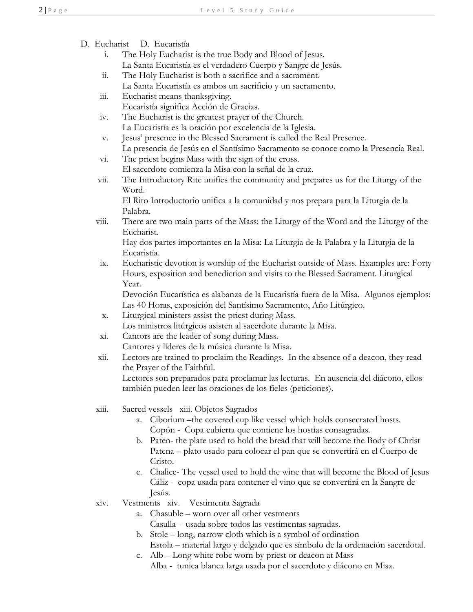| D. Eucharist | D. Eucaristía |
|--------------|---------------|
|              |               |

- i. The Holy Eucharist is the true Body and Blood of Jesus. La Santa Eucaristía es el verdadero Cuerpo y Sangre de Jesús.
- ii. The Holy Eucharist is both a sacrifice and a sacrament. La Santa Eucaristía es ambos un sacrificio y un sacramento.
- iii. Eucharist means thanksgiving.
	- Eucaristía significa Acción de Gracias.
- iv. The Eucharist is the greatest prayer of the Church. La Eucaristía es la oración por excelencia de la Iglesia.
- v. Jesus' presence in the Blessed Sacrament is called the Real Presence. La presencia de Jesús en el Santísimo Sacramento se conoce como la Presencia Real.
- vi. The priest begins Mass with the sign of the cross. El sacerdote comienza la Misa con la señal de la cruz.
- vii. The Introductory Rite unifies the community and prepares us for the Liturgy of the Word.

El Rito Introductorio unifica a la comunidad y nos prepara para la Liturgia de la Palabra.

viii. There are two main parts of the Mass: the Liturgy of the Word and the Liturgy of the Eucharist.

Hay dos partes importantes en la Misa: La Liturgia de la Palabra y la Liturgia de la Eucaristía.

ix. Eucharistic devotion is worship of the Eucharist outside of Mass. Examples are: Forty Hours, exposition and benediction and visits to the Blessed Sacrament. Liturgical Year.

Devoción Eucarística es alabanza de la Eucaristía fuera de la Misa. Algunos ejemplos: Las 40 Horas, exposición del Santísimo Sacramento, Año Litúrgico.

- x. Liturgical ministers assist the priest during Mass.
	- Los ministros litúrgicos asisten al sacerdote durante la Misa.
- xi. Cantors are the leader of song during Mass. Cantores y líderes de la música durante la Misa.
- xii. Lectors are trained to proclaim the Readings. In the absence of a deacon, they read the Prayer of the Faithful. Lectores son preparados para proclamar las lecturas. En ausencia del diácono, ellos también pueden leer las oraciones de los fieles (peticiones).

xiii. Sacred vessels xiii. Objetos Sagrados

- a. Ciborium –the covered cup like vessel which holds consecrated hosts. Copón - Copa cubierta que contiene los hostias consagradas.
- b. Paten- the plate used to hold the bread that will become the Body of Christ Patena – plato usado para colocar el pan que se convertirá en el Cuerpo de Cristo.
- c. Chalice- The vessel used to hold the wine that will become the Blood of Jesus Cáliz - copa usada para contener el vino que se convertirá en la Sangre de Jesús.
- xiv. Vestments xiv. Vestimenta Sagrada
	- a. Chasuble worn over all other vestments
		- Casulla usada sobre todos las vestimentas sagradas.
	- b. Stole long, narrow cloth which is a symbol of ordination Estola – material largo y delgado que es símbolo de la ordenación sacerdotal.
	- c. Alb Long white robe worn by priest or deacon at Mass Alba - tunica blanca larga usada por el sacerdote y diácono en Misa.